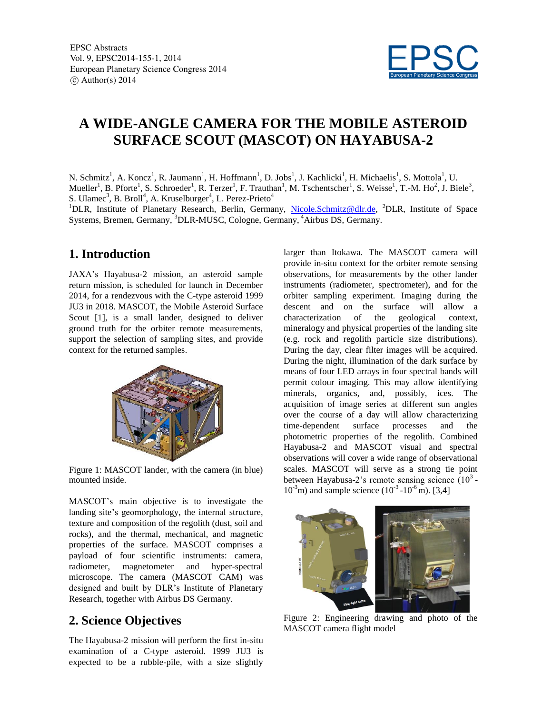

# **A WIDE-ANGLE CAMERA FOR THE MOBILE ASTEROID SURFACE SCOUT (MASCOT) ON HAYABUSA-2**

N. Schmitz<sup>1</sup>, A. Koncz<sup>1</sup>, R. Jaumann<sup>1</sup>, H. Hoffmann<sup>1</sup>, D. Jobs<sup>1</sup>, J. Kachlicki<sup>1</sup>, H. Michaelis<sup>1</sup>, S. Mottola<sup>1</sup>, U. Mueller<sup>1</sup>, B. Pforte<sup>1</sup>, S. Schroeder<sup>1</sup>, R. Terzer<sup>1</sup>, F. Trauthan<sup>1</sup>, M. Tschentscher<sup>1</sup>, S. Weisse<sup>1</sup>, T.-M. Ho<sup>2</sup>, J. Biele<sup>3</sup>, S. Ulamec<sup>3</sup>, B. Broll<sup>4</sup>, A. Kruselburger<sup>4</sup>, L. Perez-Prieto<sup>4</sup>

<sup>1</sup>DLR, Institute of Planetary Research, Berlin, Germany, Nicole.Schmitz@dlr.de, <sup>2</sup>DLR, Institute of Space Systems, Bremen, Germany, <sup>3</sup>DLR-MUSC, Cologne, Germany, <sup>4</sup>Airbus DS, Germany.

### **1. Introduction**

JAXA's Hayabusa-2 mission, an asteroid sample return mission, is scheduled for launch in December 2014, for a rendezvous with the C-type asteroid 1999 JU3 in 2018. MASCOT, the Mobile Asteroid Surface Scout [1], is a small lander, designed to deliver ground truth for the orbiter remote measurements, support the selection of sampling sites, and provide context for the returned samples.



Figure 1: MASCOT lander, with the camera (in blue) mounted inside.

MASCOT's main objective is to investigate the landing site's geomorphology, the internal structure, texture and composition of the regolith (dust, soil and rocks), and the thermal, mechanical, and magnetic properties of the surface. MASCOT comprises a payload of four scientific instruments: camera, radiometer, magnetometer and hyper-spectral microscope. The camera (MASCOT CAM) was designed and built by DLR's Institute of Planetary Research, together with Airbus DS Germany.

## **2. Science Objectives**

The Hayabusa-2 mission will perform the first in-situ examination of a C-type asteroid. 1999 JU3 is expected to be a rubble-pile, with a size slightly

larger than Itokawa. The MASCOT camera will provide in-situ context for the orbiter remote sensing observations, for measurements by the other lander instruments (radiometer, spectrometer), and for the orbiter sampling experiment. Imaging during the descent and on the surface will allow a characterization of the geological context, mineralogy and physical properties of the landing site (e.g. rock and regolith particle size distributions). During the day, clear filter images will be acquired. During the night, illumination of the dark surface by means of four LED arrays in four spectral bands will permit colour imaging. This may allow identifying minerals, organics, and, possibly, ices. The acquisition of image series at different sun angles over the course of a day will allow characterizing time-dependent surface processes and the photometric properties of the regolith. Combined Hayabusa-2 and MASCOT visual and spectral observations will cover a wide range of observational scales. MASCOT will serve as a strong tie point between Hayabusa-2's remote sensing science  $(10^3 10^{-3}$ m) and sample science  $(10^{-3} - 10^{-6})$  m). [3,4]



Figure 2: Engineering drawing and photo of the MASCOT camera flight model